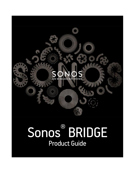

# Sonos<sup>®</sup> BRIDGE Product Guide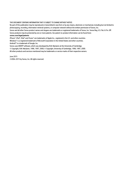#### THIS DOCUMENT CONTAINS INFORMATION THAT IS SUBJECT TO CHANGE WITHOUT NOTICE.

No part of this publication may be reproduced or transmitted in any form or by any means, electronic or mechanical, including but not limited to photocopying, recording, information retrieval systems, or computer network without the written permission of Sonos, Inc. Sonos and all other Sonos product names and slogans are trademarks or registered trademarks of Sonos, Inc. Sonos Reg. U.S. Pat. & Tm. Off. Sonos products may be protected by one or more patents. Our patent-to-product information can be found here: *sonos.com/legal/patents*

iPhone®, iPod®, iPad® and iTunes® are trademarks of Apple Inc., registered in the U.S. and other countries. Windows® is a registered trademark of Microsoft Corporation in the United States and other countries. Android™ is a trademark of Google, Inc.

Sonos uses MSNTP software, which was developed by N.M. Maclaren at the University of Cambridge. © Copyright, N.M. Maclaren, 1996, 1997, 2000; © Copyright, University of Cambridge, 1996, 1997, 2000.

All other products and services mentioned may be trademarks or service marks of their respective owners.

June 2015 ©2004-2015 by Sonos, Inc. All rights reserved.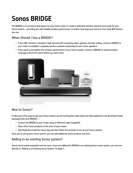# **Sonos BRIDGE**

The BRIDGE is an accessory that plugs into your home router to create a dedicated wireless network exclusively for your Sonos system—providing you with reliable wireless performance no matter how large your home or how many WiFi devices you use.

# **When Should I Use a BRIDGE?**

- If your WiFi network is already in high demand with streaming video, gaming, and web surfing, connect a BRIDGE to your router to establish a separate wireless network exclusively for your Sonos speakers.
- If you want to strengthen the wireless performance of your Sonos system, connect a BRIDGE to extend wireless coverage to all of the rooms where you want music.



### **New to Sonos?**

It takes just a few steps to get your Sonos system up and running (the steps below are fully explained in the QuickStart Guide packaged with your BRIDGE) —

- Connect the BRIDGE to your router using an Ethernet cable (supplied).
- Place other Sonos products in the room of your choice.
- Download and install the Sonos app and then follow the prompts to set up your Sonos system.

Once you've set up your music system, you can add additional Sonos products any time.

# **Adding to an existing Sonos system?**

Sonos can be easily expanded room by room. If you are adding this BRIDGE to an existing Sonos music system, you can turn directly to ["Adding to an Existing Sonos System" on page 3.](#page-4-0)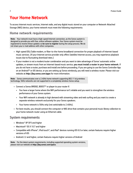# **Your Home Network**

To access Internet music services, Internet radio, and any digital music stored on your computer or Network-Attached Storage (NAS) device, your home network must meet the following requirements:

### **Home network requirements**

**Note:** Your network must have a high-speed Internet connection, as the Sonos system is designed to provide you with free, online software updates. Your Sonos system must be registered to receive these updates so **be sure to register** during the setup process. We do not share your e-mail address with other companies.

- High-speed DSL/Cable modem, or fiber-to-the-home broadband connection for proper playback of Internet-based music services. (If your Internet service provider only offers Satellite Internet access, you may experience playback issues due to fluctuating download rates.)
- If your modem is not a modem/router combination and you want to take advantage of Sonos' automatic online updates, or stream music from an Internet-based music service, **you must install a router in your home network**. If you do not have a router, purchase and install one before proceeding. If you are going to use the Sonos Controller App on an Android™ or iOS device, or you are setting up Sonos wirelessly, you will need a *wireless* router. Please visit our website at *<http://faq.sonos.com/apps>* for more information.

**Note:** Sonos communicates over a 2.4GHz home network supporting 802.11 b/g wireless technology. 5GHz networks are not supported in a completely wireless Sonos setup.

- Connect a Sonos BRIDGE, BOOST™ or player to your router if:
	- You have a larger home where the WiFi performance isn't reliable and you want to strengthen the wireless performance of your Sonos system.
	- Your WiFi network is already in high demand with streaming video and web surfing and you want to create a separate wireless network exclusively for your Sonos speakers.
	- Your home network is 5GHz only (not switchable to 2.4GHz).
- For best results, you should connect the computer or NAS drive that contains your personal music library collection to your home network router using an Ethernet cable.

### **System requirements**

- Windows® XP SP3 and higher
- Macintosh<sup>®</sup> OS X 10.7 and higher
- Compatible with iPhone®, iPod touch®, and iPad® devices running iOS 6.0 or later, certain features require higher versions of iOS
- Android 2.2 and higher, certain features require higher versions of Android

**Note:** For the latest system requirements, including supported operating system versions, please visit our website at *<http://faq.sonos.com/specs>*.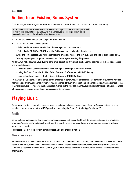# <span id="page-4-0"></span>**Adding to an Existing Sonos System**

Once you've got a Sonos system set up, you can easily add more Sonos products any time (up to 32 rooms).

**Note:** If you purchased a Sonos BRIDGE to replace a Sonos product that is currently attached to your router, be sure to add the BRIDGE to your Sonos system (see steps below) before unplugging and moving the originally wired Sonos speaker.

- **1.** Attach the power adapter and plug in the Sonos BRIDGE.
- **2.** Choose one of the following options:
	- Select **Add a BRIDGE or BOOST** from the **Manage** menu on a Mac or PC.
	- Select **Add a BRIDGE or BOOST** from the **Settings** menu on a handheld controller.

During the setup process, you will be prompted to press and release the **Join** button on the side of the Sonos BRIDGE.

You may be prompted to update the rest of your Sonos system during this process.

A BRIDGE will not display on your **ROOMS** pane after it is set up. If you wish to change the settings for this product, choose one of the following:

- Using the Sonos Controller for PC: Select **Manage** -> **Settings** -> **BRIDGE Settings**.
- Using the Sonos Controller for Mac: Select **Sonos** -> **Preferences** -> **BRIDGE Settings**.
- Using a handheld Sonos controller: Select **Settings** -> **BRIDGE Settings**.

Thick walls, 2.4 GHz cordless telephones, or the presence of other wireless devices can interfere with or block the wireless network signals from your Sonos system. If you experience difficulty after positioning a Sonos product, try one or more of the following resolutions—relocate the Sonos product; change the wireless channel your music system is operating on; connect a Sonos product to your router if your setup is currently wireless.

# **Playing Music**

You can use any Sonos controller to make music selections—choose a music source from the Sonos music menu on a handheld controller, or from the **MUSIC** pane if you are using the Sonos Controller App for Mac or PC.

### **Radio**

Sonos includes a radio guide that provides immediate access to thousands of free Internet radio stations and broadcast programs. You can easily find radio from all over the world—music, news, and variety programming, including archived shows and podcasts.

To select an Internet radio station, simply select **Radio** and choose a station.

### **Music services**

A music service is an online music store or online service that sells audio on a per-song, per audiobook, or subscription basis. Sonos is compatible with several music services - you can visit our website at *[www.sonos.com/music](http://www.sonos.com/music)* for the latest list. (Some music services may not be available in your country. Please check the individual music service's website for more information.)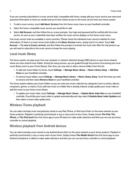If you are currently subscribed to a music service that's compatible with Sonos, simply add your music service user name and password information to Sonos as needed and you'll have instant access to the music service from your Sonos system.

- **1.** To add a music service, touch **Add Music Services** from the Sonos music menu on your handheld controller.
- **2.** Select the Sonos-compatible music service you would like to add.
- **3.** Select **Add Account**, and then follow the on-screen prompts. Your login and password will be verified with the music service. As soon as your credentials have been verified, the music service displays on the Sonos music menu.

Free music service trials are available in some countries. (Please check the individual music service's website for more information.) If there is a music service trial visible on the **Music Services** menu, simply touch it to select. Touch **Add Account** -> **I'm new to [music service]**, and then follow the prompts to activate the music trial. After the trial period is up, you will need to subscribe to the music service to keep the music playing.

### **Local music library**

The Sonos system can play music from any computer or network-attached storage (NAS) device on your home network where you have shared music folders. During the setup process, you are guided through the process of accessing your local music library (such as your iTunes library). Over time, you may wish to add or remove folders from this list.

- To add new music folders to Sonos, touch **Settings** -> **Manage Music Library** -> **Music Library Setup** -> **Add New Share** on your handheld controller.
- To remove music folders, touch **Settings** -> **Manage Music Library** -> **Music Library Setup**. Touch the share you wish to remove and then select **Remove Share** on your handheld controller.

The Sonos system indexes your music folders so you can view your music collection by categories (such as artists, albums, composers, genres, or tracks.) If you add new music to a folder that is already indexed, simply update your music index to add this music to your Sonos music library.

• To update your music index, touch **Settings** -> **Manage Music Library** -> **Update Music Index Now** on your handheld controller. If you'd like your music index to update automatically each day, select **Schedule Music Index Updates** and then select a music index update time.

### **Wireless iTunes playback**

You can select and play music and podcasts stored on any iPad, iPhone, or iPod touch that's on the same network as your Sonos products. Playback is perfectly synchronized, in any or every room of your home. Simply choose **This iPad**, **This iPhone**, or **This iPod touch** from the Sonos app on your iOS device to make audio selections and then you can use any Sonos controller to control playback.

### **Wireless playback from Android devices**

You can select and play music stored on any Android device that's on the same network as your Sonos products. Playback is perfectly synchronized, in any or every room of your home. Simply choose **This Mobile Device** from the Sonos app on your Android smartphone or tablet to make audio selections and then you can use any Sonos controller to control playback.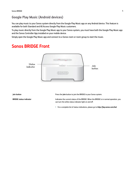# **Google Play Music (Android devices)**

You can play music to your Sonos system directly from the Google Play Music app on any Android device. This feature is available for both Standard and All Access Google Play Music customers.

To play music directly from the Google Play Music app to your Sonos system, you must have both the Google Play Music app and the Sonos Controller App installed on your mobile device.

Simply open the Google Play Music app and connect to a Sonos room or room group to start the music.

# **Status** Join indicator button SONOS)

**Sonos BRIDGE Front**

**Join button Press the Join button to join the BRIDGE to your Sonos system.** 

**BRIDGE status indicator** Indicates the current status of the BRIDGE. When the BRIDGE is in normal operation, you can turn the white status indicator light on and off.

• For a complete list of status indications, please go to *<http://faq.sonos.com/led>*.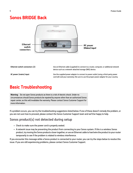# **Sonos BRIDGE Back**



**Ethernet switch connectors (2)** Use an Ethernet cable (supplied) to connect to a router, computer, or additional network device such as a network-attached storage (NAS) device.

**AC power (mains) input** Use the supplied power adapter to connect to power outlet (using a third-party power cord will void your warranty). Be sure to use the proper power adapter for your country.

# **Basic Troubleshooting**

**Warning:** Do not open Sonos products as there is a risk of electric shock. Under no circumstances should Sonos products be repaired by anyone other than an authorized Sonos repair center, as this will invalidate the warranty. Please contact Sonos Customer Support for more information.

If a problem occurs, you can try the troubleshooting suggestions listed below. If one of these doesn't remedy the problem, or you are not sure how to proceed, please contact the Sonos Customer Support team and we'll be happy to help.

# **Sonos product(s) not detected during setup**

- Check to make sure the power cord is properly seated.
- A network issue may be preventing the product from connecting to your Sonos system. If this is a wireless Sonos product, try moving the Sonos products closer together, or use an Ethernet cable to hard wire the product to your router temporarily to see if the problem is related to wireless interference.

If you encounter this message while a Sonos product is connected to your router, you can try the steps below to resolve this issue. If you are still experiencing problems, please contact Sonos Customer Support.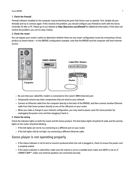Sonos BRIDGE 7

#### **1. Check the firewall**

Firewall software installed on the computer may be blocking the ports that Sonos uses to operate. First, disable all your firewalls and try to connect again. If this resolves the problem, you should configure your firewall to work with the Sonos Controller for Mac or PC. Please go to our website at *<http://faq.sonos.com/firewall>* for additional information. If this does not resolve the problem, you can try step 2 below.

#### **2. Check the router**

You can bypass your router's switch to determine whether there are any router configuration issues by connecting a Sonos product as shown below—in this BRIDGE configuration example, note that the BRIDGE and the computer still have Internet access:



- Be sure that your cable/DSL modem is connected to the router's WAN (Internet) port.
- Temporarily remove any other components that are wired to your network.
- Connect an Ethernet cable from the computer directly to the back of the BRIDGE, and then connect another Ethernet cable from that Sonos product directly to one of the LAN ports on your router.
- When you make a change to your network configuration, you may need to power cycle the Sonos product by unplugging the power cord, and then plugging it back in.

#### **3. Check the wiring**

Check the indicator lights on both the router and the Sonos product. The link/status lights should be lit solid, and the activity lights on the router should be blinking.

- If the link lights are not lit, try connecting to a different port on your router.
- If the link lights still do not light, try connecting a different Ethernet cable.

### **Sonos player is not operating properly**

- If the status indicator is not lit and no sound is produced when the unit is plugged in, check to ensure the power cord is properly seated.
- If the status indicator is solid white, make sure the volume is set to a suitable level; make sure MUTE is not on; if CONNECT:AMP™, make sure external speakers are connected securely.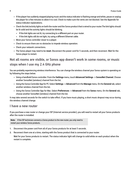- If the player has suddenly stopped playing music and the status indicator is flashing orange and white, pause or unplug the player for a few minutes to allow it to cool. Check to make sure the vents are not blocked. See the Appendix for status indicator explanations.
- Check the link/activity lights on both the router and the Sonos product that is wired to your router.The link lights should be lit solid and the activity lights should be blinking.
	- If the link lights are not lit, try connecting to a different port on your router.
	- If the link lights still do not light, try using a different Ethernet cable.
- Move your Sonos controller closer to a player.
- Check to ensure there are no obstacles to impede wireless operation.
- Check your network connections.
- The Sonos player may need to be **reset**. Disconnect the power cord for 5 seconds, and then reconnect. Wait for the Sonos player to restart.

# **Not all rooms are visible, or Sonos app doesn't work in some rooms, or music stops when I use my 2.4 GHz phone**

You are probably experiencing wireless interference. You can change the wireless channel your Sonos system is operating on by following the steps below.

- Using a handheld Sonos controller: From the **Settings** menu, touch **Advanced Settings** -> **SonosNet Channel**. Choose another SonosNet (wireless) channel from the list.
- Using the Sonos Controller App for PC: Select **Settings** -> **Advanced** from the **Manage** menu. On the **General** tab, select another wireless channel from the list.
- Using the Sonos Controller App for Mac: Select **Preferences** -> **Advanced** from the **Sonos** menu. On the **General** tab, choose another SonosNet (wireless) channel from the list.

It may take several seconds for the switch to take effect. If you have music playing, a short music dropout may occur during the wireless channel change.

### **I have a new router**

If you purchase a new router or change your ISP (Internet service provider), you will need to restart all your Sonos products after the router is installed.

**Note:** If the ISP technician connects a Sonos product to the new router, you only need to restart your wireless Sonos products.

- **1.** Disconnect the power cord from all of your Sonos products for at least 5 seconds.
- **2.** Reconnect them one at a time, starting with the Sonos product that is connected to your router.

Wait for your Sonos products to restart. The status indicator light will change to solid white on each product when the restart is complete.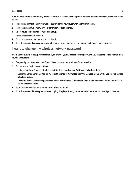I**f your Sonos setup is completely wireless,** you will also need to change your wireless network password. Follow the steps below:

- **1.** Temporarily connect one of your Sonos players to the new router with an Ethernet cable.
- **2.** From the Sonos music menu on your controller, select **Settings**.
- **3.** Select **Advanced Settings** -> **Wireless Setup**.
	- Sonos will detect your network.
- **4.** Enter the password for your wireless network.
- **5.** Once the password is accepted, unplug the player from your router and move it back to its original location.

## **I want to change my wireless network password**

If your Sonos system is set up wirelessly and you change your wireless network password, you will also need to change it on your Sonos system.

- **1.** Temporarily connect one of your Sonos players to your router with an Ethernet cable.
- **2.** Choose one of the following options:
	- Using a handheld Sonos controller, select **Settings** -> **Advanced Settings** -> **Wireless Setup.**
	- Using the Sonos Controller App for PC, select **Settings** -> **Advanced** from the **Manage** menu. On the **General** tab, select **Wireless Setup.**
	- Using the Sonos Controller App for Mac, select **Preferences** -> **Advanced** from the **Sonos** menu. On the **General** tab, select **Wireless Setup.**
- **3.** Enter the new wireless network password when prompted.
- **4.** Once the password is accepted, you can unplug the player from your router and move it back to its original location.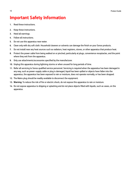# **Important Safety Information**

- **1.** Read these instructions.
- **2.** Keep these instructions.
- **3.** Heed all warnings.
- **4.** Follow all instructions.
- **5.** Do not use this apparatus near water.
- **6.** Clean only with dry soft cloth. Household cleaners or solvents can damage the finish on your Sonos products.
- **7.** Do not install near any heat sources such as radiators, heat registers, stoves, or other apparatus that produce heat.
- **8.** Protect the power cable from being walked on or pinched, particularly at plugs, convenience receptacles, and the point where they exit from the apparatus.
- **9.** Only use attachments/accessories specified by the manufacturer.
- **10.** Unplug this apparatus during lightning storms or when unused for long periods of time.
- **11.** Refer all servicing to Sonos qualified service personnel. Servicing is required when the apparatus has been damaged in any way, such as power-supply cable or plug is damaged, liquid has been spilled or objects have fallen into the apparatus, the apparatus has been exposed to rain or moisture, does not operate normally, or has been dropped.
- **12.** The Mains plug should be readily available to disconnect the equipment.
- **13. Warning**: To reduce the risk of fire or electric shock, do not expose this apparatus to rain or moisture.
- **14.** Do not expose apparatus to dripping or splashing and do not place objects filled with liquids, such as vases, on the apparatus.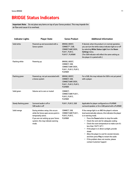# **BRIDGE Status Indicators**

**Important Note:** Do not place any items on top of your Sonos product. This may impede the air flow and cause it to overheat.

| <b>Indicator Lights</b> | <b>Player State</b>                                                                                                                                                                     | <b>Sonos Product</b>                                                                                       | <b>Additional Information</b>                                                                                                                                                                                                                                                                                                                                                                                                                                                                                                                     |
|-------------------------|-----------------------------------------------------------------------------------------------------------------------------------------------------------------------------------------|------------------------------------------------------------------------------------------------------------|---------------------------------------------------------------------------------------------------------------------------------------------------------------------------------------------------------------------------------------------------------------------------------------------------------------------------------------------------------------------------------------------------------------------------------------------------------------------------------------------------------------------------------------------------|
| Solid white             | Powered up and associated with a<br>Sonos system                                                                                                                                        | BRIDGE, BOOST,<br>CONNECT™, SUB,<br>CONNECT:AMP, DOCK,<br>PLAY:1, PLAY:3,<br>PLAY:5 <sup>®</sup> , PLAYBAR | If desired, when the product is in normal operation,<br>you can turn the white status indicator light on or off<br>by selecting White Status Light from the Room<br>Settings menu.<br>(The SUB indicator will reflect the same setting as<br>the player it is paired with.)                                                                                                                                                                                                                                                                       |
| Flashing white          | Powering up                                                                                                                                                                             | BRIDGE, BOOST,<br>CONNECT, SUB,<br>CONNECT:AMP, DOCK,<br>PLAY:1, PLAY:3, PLAY:5,<br><b>PLAYBAR</b>         |                                                                                                                                                                                                                                                                                                                                                                                                                                                                                                                                                   |
| Flashing green          | Powered up, not yet associated with<br>a Sonos system                                                                                                                                   | BRIDGE, BOOST,<br>CONNECT, SUB,<br>CONNECT:AMP, DOCK,<br>PLAY:1, PLAY:3, PLAY:5,<br><b>PLAYBAR</b>         | For a SUB, this may indicate the SUB is not yet paired<br>with a player.                                                                                                                                                                                                                                                                                                                                                                                                                                                                          |
| Solid green             | Volume set to zero or muted                                                                                                                                                             | CONNECT,<br>CONNECT:AMP, PLAY:1,<br>PLAY:3, PLAY:5,<br><b>PLAYBAR</b>                                      |                                                                                                                                                                                                                                                                                                                                                                                                                                                                                                                                                   |
| Slowly flashing green   | Surround audio is off or<br>SUB audio is off                                                                                                                                            | PLAY:1, PLAY:3, SUB                                                                                        | Applicable for player configured as a PLAYBAR<br>surround speaker, or for a SUB paired with a PLAYBAR                                                                                                                                                                                                                                                                                                                                                                                                                                             |
| Solid orange            | During wireless setup, this occurs<br>while the Sonos open access point is<br>temporarily active.<br>If you are not setting up your Sonos<br>system, this may indicate warning<br>mode. | CONNECT, SUB,<br>CONNECT: AMP, PLAY: 1,<br>PLAY: 3, PLAY: 5,<br><b>PLAYBAR</b>                             | If the orange light is on AND the player's volume<br>level automatically reduces, this indicates the player<br>is in warning mode.<br>• Press the Pause button to stop the audio<br>Check the vent slot for adequate cooling<br>• Check the room temperature to make sure it's<br>less than 104°F/40°C<br>• If the player is in direct sunlight, provide<br>shade<br>Allow the player to cool for several minutes<br>$\bullet$<br>and then press Play to restart the audio<br>If the problem does not resolve, please<br>contact Customer Support |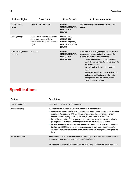| <b>Indicator Lights</b>             | <b>Player State</b>                                                                                                      | <b>Sonos Product</b>                                                                               | <b>Additional Information</b>                                                                                                                                                                                                                                                                                                                                                                                                                                                                         |
|-------------------------------------|--------------------------------------------------------------------------------------------------------------------------|----------------------------------------------------------------------------------------------------|-------------------------------------------------------------------------------------------------------------------------------------------------------------------------------------------------------------------------------------------------------------------------------------------------------------------------------------------------------------------------------------------------------------------------------------------------------------------------------------------------------|
| Rapidly flashing<br>orange          | Playback / Next Track failed                                                                                             | CONNECT,<br>CONNECT:AMP, PLAY:1,<br>PLAY: 3, PLAY: 5,<br><b>PLAYBAR</b>                            | Indicates either playback or next track was not<br>possible                                                                                                                                                                                                                                                                                                                                                                                                                                           |
| Flashing orange                     | During SonosNet setup, this occurs<br>after a button press while the<br>product is searching for a household<br>to join. | BRIDGE, BOOST,<br>CONNECT, SUB,<br>CONNECT:AMP, DOCK,<br>PLAY:1, PLAY:3, PLAY:5,<br><b>PLAYBAR</b> |                                                                                                                                                                                                                                                                                                                                                                                                                                                                                                       |
| Slowly flashing orange<br>and white | Fault mode                                                                                                               | CONNECT,<br>CONNECT:AMP, PLAY:1,<br>PLAY: 3, PLAY: 5,<br>PLAYBAR, SUB                              | If the lights are flashing orange and white AND the<br>volume automatically mutes, this indicates the<br>player is experiencing a fault condition.<br>• Press the Pause button to stop the audio<br>Check the room temperature to make sure it's<br>less than 104°F/40°C<br>If the player is in direct sunlight, provide<br>shade<br>Allow the product to cool for several minutes<br>and then press Play to restart the audio<br>If the problem does not resolve, please<br>contact Customer Support |

# **Specifications**

| <b>Feature</b>               | <b>Description</b>                                                                                                                                                                                                                                                                                                                                                                                                                                                                                                                                                                                                                                                                                                                                                                                                                        |
|------------------------------|-------------------------------------------------------------------------------------------------------------------------------------------------------------------------------------------------------------------------------------------------------------------------------------------------------------------------------------------------------------------------------------------------------------------------------------------------------------------------------------------------------------------------------------------------------------------------------------------------------------------------------------------------------------------------------------------------------------------------------------------------------------------------------------------------------------------------------------------|
| <b>Ethernet Connection</b>   | 2-port switch, 10/100 Mbps, auto MDI/MDIX                                                                                                                                                                                                                                                                                                                                                                                                                                                                                                                                                                                                                                                                                                                                                                                                 |
| Network Bridging             | 2-port switch allows Ethernet devices to connect through SonosNet™<br>Easy Internet connectivity for other products in the house - SonosNet can stream any data<br>in between its nodes. A BRIDGE has two Ethernet jacks on the back to bring standard<br>Internet connectivity to your set-top box, PVR, PC, Game Console or NAS drive.<br>Extend the range of the Sonos system - stream music wirelessly to a remote location by<br>$\bullet$<br>placing a BRIDGE in between a Sonos product and the rest of the Sonos system.<br>Expand the wireless reach of the controller-improve Sonos controller access to SonosNet<br>$\bullet$<br>by placing a BRIDGE in areas where wireless coverage needs a boost. Ideal for retrofits,<br>where all Sonos products might be in one location instead of being placed throughout the<br>home. |
| <b>Wireless Connectivity</b> | Works on SonosNet™, a secure AES encrypted, peer-to-peer wireless mesh network dedicated<br>exclusively for your Sonos system to reduce WiFi interference                                                                                                                                                                                                                                                                                                                                                                                                                                                                                                                                                                                                                                                                                 |
|                              | Also works on your home WiFi network with any 802.11b/q, 2.4GHz broadcast capable router                                                                                                                                                                                                                                                                                                                                                                                                                                                                                                                                                                                                                                                                                                                                                  |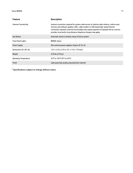| <b>Feature</b>                     | <b>Description</b>                                                                                                                                                                                                                                                                                                                                      |
|------------------------------------|---------------------------------------------------------------------------------------------------------------------------------------------------------------------------------------------------------------------------------------------------------------------------------------------------------------------------------------------------------|
| Internet Connectivity              | Internet connection required for system-wide access to Internet radio stations, online music<br>services and software updates. (DSL, cable modem or LAN-based high-speed Internet<br>connection required.) Internet functionality may require payment of separate fee to a service<br>provider; local and/or long distance telephone charges may apply. |
| Join Button                        | Automatic wired or wireless setup of Sonos system                                                                                                                                                                                                                                                                                                       |
| <b>Front Panel Lights</b>          | <b>BRIDGE status</b>                                                                                                                                                                                                                                                                                                                                    |
| Power Supply                       | Slim external power adapter, Output: DC 5V, 2A                                                                                                                                                                                                                                                                                                          |
| Dimensions $(H \times W \times D)$ | $1.61 \times 4.33 \times 4.33$ in. $(41 \times 110 \times 110$ mm)                                                                                                                                                                                                                                                                                      |
| Weight                             | $0.59$ lbs $(270$ gr)                                                                                                                                                                                                                                                                                                                                   |
| <b>Operating Temperature</b>       | 32°F to 104°F (0°C to 40°C)                                                                                                                                                                                                                                                                                                                             |
| Finish                             | Light gray/high quality polycarbonate material                                                                                                                                                                                                                                                                                                          |

\* Specifications subject to change without notice.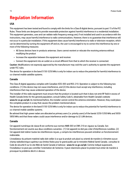# **Regulation Information**

#### **USA**

This equipment has been tested and found to comply with the limits for a Class B digital device, pursuant to part 15 of the FCC Rules. These limits are designed to provide reasonable protection against harmful interference in a residential installation. This equipment generates, uses and can radiate radio frequency energy and, if not installed and used in accordance with the instructions, may cause harmful interference to radio communications. However, there is no guarantee that interference will not occur in a particular installation. If this equipment does cause harmful interference to radio or television reception, which can be determined by turning the equipment off and on, the user is encouraged to try to correct the interference by one or more of the following measures:

- All Sonos devices have in-products antennas. Users cannot reorient or relocate the receiving antenna without modifying the product
- Increase the separation between the equipment and receiver.
- Connect the equipment into an outlet on a circuit different from that to which the receiver is connected.

**Caution**: Modifications not expressly approved by the manufacturer may void the user's authority to operate the equipment under FCC rules.

The device for operation in the band 5150-5250 MHz is only for indoor use to reduce the potential for harmful interference to co-channel mobile satellite systems.

#### **Canada**

This Class B digital apparatus complies with Canadian ICES-003 and RSS-210. Operation is subject to the following two conditions: (1) this device may not cause interference, and (2) this device must accept any interference, including interference that may cause undesired operation of the device.

The installer of this radio equipment must ensure that the product is located such that it does not emit RF field in excess of Health Canada limits for the general population; consult Safety Code 6, obtainable from Health Canada's website *www.hc-sc.gc.ca/rpb*. As mentioned before, the installer cannot control the antenna orientation. However, they could place the complete product in a way that causes the problem mentioned above.

The device for operation in the band 5150-5250 MHz is only for indoor use to reduce the potential for harmful interference to co-channel mobile satellite systems.

Be advised that high-power radars are allocated as primary users (i.e. priority users) of the bands 5250-5350 MHz and 5650- 5850 MHz and that these radars could cause interference and/or damage to LE-LAN devices.

#### **Canada**

Cet appareil numérique de classe B est conforme aux normes NMB-003 et CNR-210 en vigueur au Canada. Son fonctionnement est soumis aux deux conditions suivantes : (1) Cet appareil ne doit pas créer d'interférences nuisibles. (2) Cet appareil doit tolérer toutes les interférences reçues, y compris les interférences pouvant entraîner un fonctionnement indésirable.

L'installateur du présent matériel radio doit veiller à ce que le produit soit placé ou orienté de manière à n'émettre aucun champ radioélectrique supérieur aux limites fixées pour le grand public par le ministère fédéral Santé Canada ; consultez le Code de sécurité 6 sur le site Web de Santé Canada à l'adresse : *www.hc-sc.gc.ca/rpb*. Comme indiqué auparavant, l'installateur ne peut pas contrôler l'orientation de l'antenne. Il peut néanmoins placer le produit tout entier de manière à provoquer le problème décrit ci-dessus.